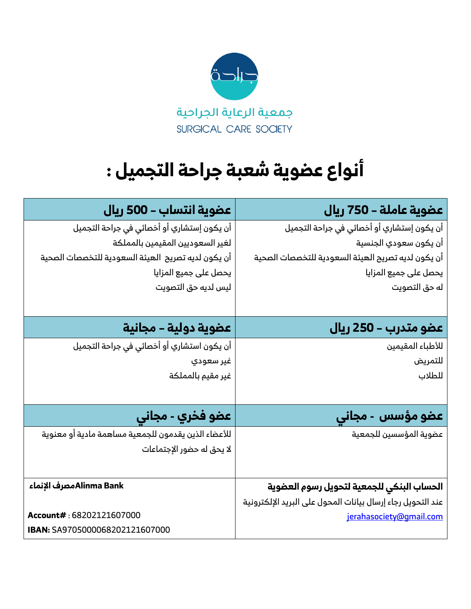

# **أنواع عضوية شعبة جراحة التجميل :**

| عضوية انتساب – 500 ريال                             | عضوية عاملة – 750 ريال                                      |
|-----------------------------------------------------|-------------------------------------------------------------|
| أن يكون إستشاري أو أخصائي في جراحة التجميل          | أن يكون إستشاري أو أخصائي في جراحة التجميل                  |
| لغير السعوديين المقيمين بالمملكة                    | أن يكون سعودي الجنسية                                       |
| أن يكون لديه تصريح الهيئة السعودية للتخصصات الصحية  | أن يكون لديه تصريح الهيئة السعودية للتخصصات الصحية          |
| يحصل على جميع المزايا                               | يحصل على جميع المزايا                                       |
| ليس لديه حق التصويت                                 | له حق التصويت                                               |
|                                                     |                                                             |
| عضوية دولية – مجانية                                | عضو متدرب – 250 ريال                                        |
| أن يكون استشاري أو أخصائي في جراحة التجميل          | للأطباء المقيمين                                            |
| غير سعودي                                           | للتمريض                                                     |
| غير مقيم بالمملكة                                   | للطلاب                                                      |
|                                                     |                                                             |
| عضو فخري - مجاني                                    | عضو مؤسس - مجاني                                            |
| للأعضاء الذين يقدمون للجمعية مساهمة مادية أو معنوية | عضوية المؤسسين للجمعية                                      |
| لا يحق له حضور الإجتماعات                           |                                                             |
|                                                     |                                                             |
| Alinma Bankمصرف الإنماء Alinma                      | الحساب البنكي للجمعية لتحويل رسوم العضوية                   |
|                                                     | عند التحويل رجاء إرسال بيانات المحول على البريد الإلكترونية |
| Account#: 68202121607000                            | jerahasociety@gmail.com                                     |
| IBAN: SA9705000068202121607000                      |                                                             |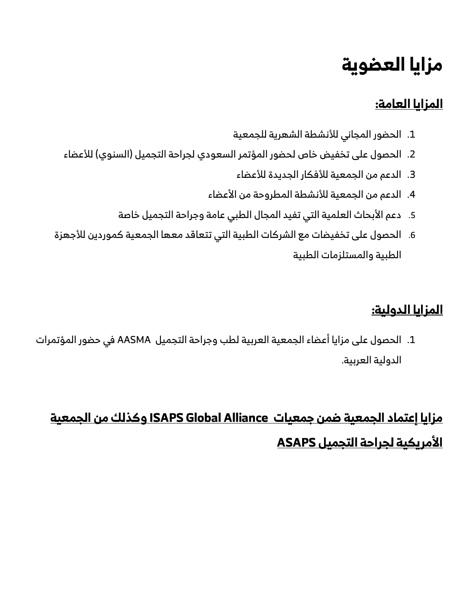## **مزايا العضوية**

### **المزايا العامة:**

- .1 الحضور المجاني لألنشطة الشهرية للجمعية
- 2. الحصول على تخفيض خاص لحضور المؤتمر السعودي لجراحة التجميل (السنوي) للأعضاء
	- .3 الدعم من الجمعية لألفكار الجديدة لألعضاء
	- 4. الدعم من الجمعية للأنشطة المطروحة من الأعضاء
	- 5. دعم الأبحاث العلمية التي تفيد المجال الطبي عامة وجراحة التجميل خاصة
- .6 الحصول على تخفيضات مع الشركات الطبية التي تتعاقد معها الجمعية كموردين لألجهزة الطبية والمستلزمات الطبية

### **المزايا الدولية:**

.1 الحصول على مزايا أعضاء الجمعية العربية لطب وجراحة التجميل AASMA في حضور المؤتمرات الدولية العربية.

## **مزايا إعتماد الجمعية ضمن جمعيات Alliance Global ISAPS وكذلك من الجمعية األمريكية لجراحة التجميل ASAPS**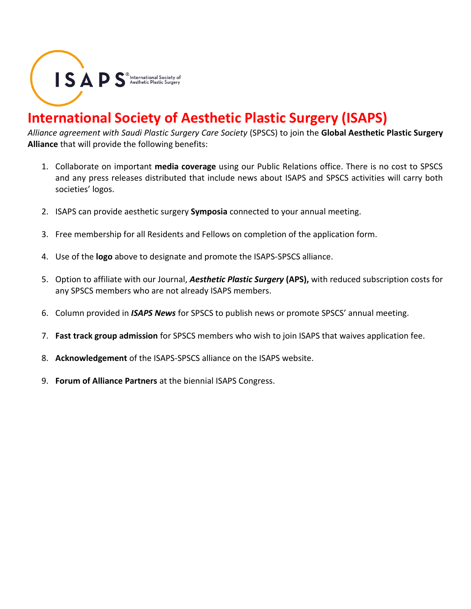$\textsf{I}\textsf{S}\textsf{A}\textsf{P}\textsf{S}^{\textsf{0}}_{\scriptscriptstyle{\text{Aesthetic Plastic Surgery}}}$ 

### **International Society of Aesthetic Plastic Surgery (ISAPS)**

*Alliance agreement with Saudi Plastic Surgery Care Society* (SPSCS) to join the **Global Aesthetic Plastic Surgery Alliance** that will provide the following benefits:

- 1. Collaborate on important **media coverage** using our Public Relations office. There is no cost to SPSCS and any press releases distributed that include news about ISAPS and SPSCS activities will carry both societies' logos.
- 2. ISAPS can provide aesthetic surgery **Symposia** connected to your annual meeting.
- 3. Free membership for all Residents and Fellows on completion of the application form.
- 4. Use of the **logo** above to designate and promote the ISAPS-SPSCS alliance.
- 5. Option to affiliate with our Journal, *Aesthetic Plastic Surgery* **(APS),** with reduced subscription costs for any SPSCS members who are not already ISAPS members.
- 6. Column provided in *ISAPS News* for SPSCS to publish news or promote SPSCS' annual meeting.
- 7. **Fast track group admission** for SPSCS members who wish to join ISAPS that waives application fee.
- 8. **Acknowledgement** of the ISAPS-SPSCS alliance on the ISAPS website.
- 9. **Forum of Alliance Partners** at the biennial ISAPS Congress.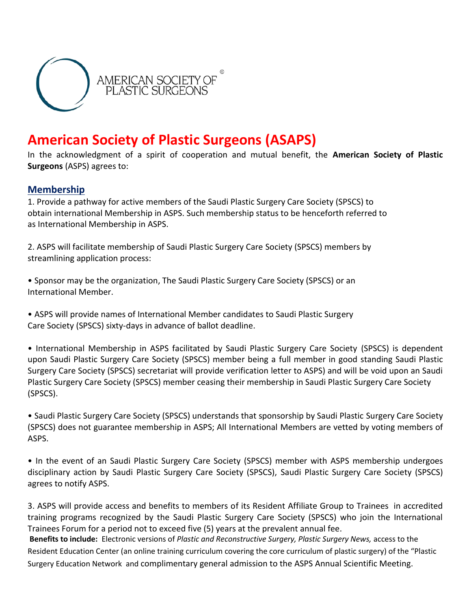

### **American Society of Plastic Surgeons (ASAPS)**

In the acknowledgment of a spirit of cooperation and mutual benefit, the **American Society of Plastic Surgeons** (ASPS) agrees to:

#### **Membership**

1. Provide a pathway for active members of the Saudi Plastic Surgery Care Society (SPSCS) to obtain international Membership in ASPS. Such membership status to be henceforth referred to as International Membership in ASPS.

2. ASPS will facilitate membership of Saudi Plastic Surgery Care Society (SPSCS) members by streamlining application process:

• Sponsor may be the organization, The Saudi Plastic Surgery Care Society (SPSCS) or an International Member.

• ASPS will provide names of International Member candidates to Saudi Plastic Surgery Care Society (SPSCS) sixty-days in advance of ballot deadline.

• International Membership in ASPS facilitated by Saudi Plastic Surgery Care Society (SPSCS) is dependent upon Saudi Plastic Surgery Care Society (SPSCS) member being a full member in good standing Saudi Plastic Surgery Care Society (SPSCS) secretariat will provide verification letter to ASPS) and will be void upon an Saudi Plastic Surgery Care Society (SPSCS) member ceasing their membership in Saudi Plastic Surgery Care Society (SPSCS).

• Saudi Plastic Surgery Care Society (SPSCS) understands that sponsorship by Saudi Plastic Surgery Care Society (SPSCS) does not guarantee membership in ASPS; All International Members are vetted by voting members of ASPS.

• In the event of an Saudi Plastic Surgery Care Society (SPSCS) member with ASPS membership undergoes disciplinary action by Saudi Plastic Surgery Care Society (SPSCS), Saudi Plastic Surgery Care Society (SPSCS) agrees to notify ASPS.

3. ASPS will provide access and benefits to members of its Resident Affiliate Group to Trainees in accredited training programs recognized by the Saudi Plastic Surgery Care Society (SPSCS) who join the International Trainees Forum for a period not to exceed five (5) years at the prevalent annual fee.

**Benefits to include:** Electronic versions of *Plastic and Reconstructive Surgery, Plastic Surgery News,* access to the Resident Education Center (an online training curriculum covering the core curriculum of plastic surgery) of the "Plastic Surgery Education Network and complimentary general admission to the ASPS Annual Scientific Meeting.